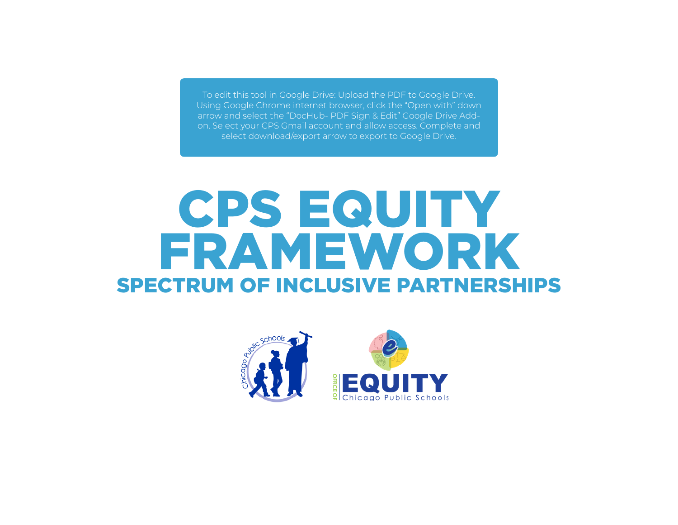To edit this tool in Google Drive: Upload the PDF to Google Drive. Using Google Chrome internet browser, click the "Open with" down arrow and select the "DocHub- PDF Sign & Edit" Google Drive Addon. Select your CPS Gmail account and allow access. Complete and select download/export arrow to export to Google Drive.

## SPECTRUM OF INCLUSIVE PARTNERSHIPS CPS EQUITY FRAMEWORK